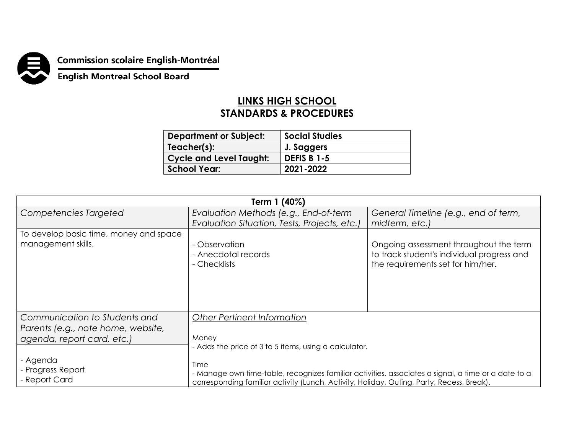

**Commission scolaire English-Montréal<br>English Montreal School Board** 

## **LINKS HIGH SCHOOL STANDARDS & PROCEDURES**

| <b>Department or Subject:</b>  | <b>Social Studies</b> |
|--------------------------------|-----------------------|
| Teacher(s):                    | J. Saggers            |
| <b>Cycle and Level Taught:</b> | <b>DEFIS B 1-5</b>    |
| <b>School Year:</b>            | 2021-2022             |

| Term 1 (40%)                                                     |                                                                                                                                                                                                          |                                                                                                                           |  |  |
|------------------------------------------------------------------|----------------------------------------------------------------------------------------------------------------------------------------------------------------------------------------------------------|---------------------------------------------------------------------------------------------------------------------------|--|--|
| Competencies Targeted                                            | Evaluation Methods (e.g., End-of-term                                                                                                                                                                    | General Timeline (e.g., end of term,                                                                                      |  |  |
|                                                                  | Evaluation Situation, Tests, Projects, etc.)                                                                                                                                                             | midterm, etc.)                                                                                                            |  |  |
| To develop basic time, money and space<br>management skills.     | - Observation<br>- Anecdotal records<br>- Checklists                                                                                                                                                     | Ongoing assessment throughout the term<br>to track student's individual progress and<br>the requirements set for him/her. |  |  |
| Communication to Students and                                    | <b>Other Pertinent Information</b>                                                                                                                                                                       |                                                                                                                           |  |  |
| Parents (e.g., note home, website,<br>agenda, report card, etc.) | Money<br>- Adds the price of 3 to 5 items, using a calculator.                                                                                                                                           |                                                                                                                           |  |  |
| - Agenda<br>- Progress Report<br>- Report Card                   | Time<br>- Manage own time-table, recognizes familiar activities, associates a signal, a time or a date to a<br>corresponding familiar activity (Lunch, Activity, Holiday, Outing, Party, Recess, Break). |                                                                                                                           |  |  |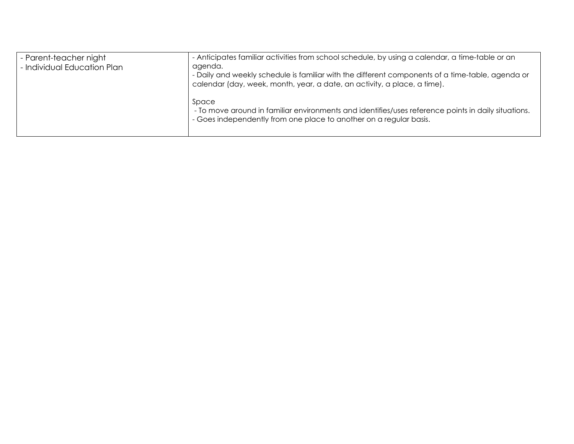| - Parent-teacher night<br>- Individual Education Plan | - Anticipates familiar activities from school schedule, by using a calendar, a time-table or an<br>agenda.<br>- Daily and weekly schedule is familiar with the different components of a time-table, agenda or<br>calendar (day, week, month, year, a date, an activity, a place, a time). |
|-------------------------------------------------------|--------------------------------------------------------------------------------------------------------------------------------------------------------------------------------------------------------------------------------------------------------------------------------------------|
|                                                       | Space<br>- To move around in familiar environments and identifies/uses reference points in daily situations.<br>- Goes independently from one place to another on a regular basis.                                                                                                         |